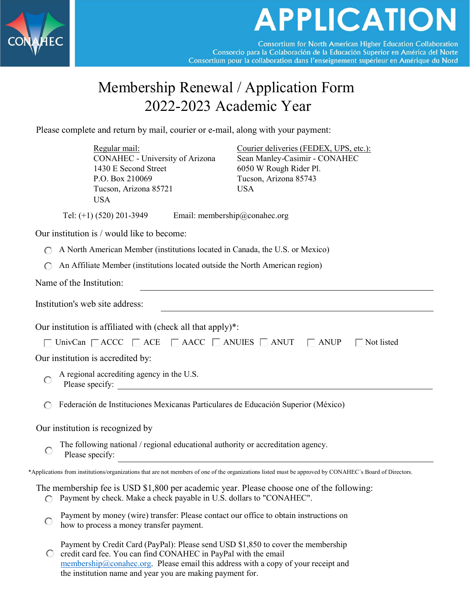

## **APPLICATION**

**Consortium for North American Higher Education Collaboration** Consorcio para la Colaboración de la Educación Superior en América del Norte Consortium pour la collaboration dans l'enseignement supérieur en Amérique du Nord

## Membership Renewal / Application Form 2022-2023 Academic Year

Please complete and return by mail, courier or e-mail, along with your payment:

|                                                                                                          | Regular mail:<br>CONAHEC - University of Arizona<br>1430 E Second Street<br>P.O. Box 210069<br>Tucson, Arizona 85721<br><b>USA</b>                                                                                                                                                                     |  | Courier deliveries (FEDEX, UPS, etc.):<br>Sean Manley-Casimir - CONAHEC<br>6050 W Rough Rider Pl.<br>Tucson, Arizona 85743<br><b>USA</b>                |  |  |  |  |
|----------------------------------------------------------------------------------------------------------|--------------------------------------------------------------------------------------------------------------------------------------------------------------------------------------------------------------------------------------------------------------------------------------------------------|--|---------------------------------------------------------------------------------------------------------------------------------------------------------|--|--|--|--|
|                                                                                                          | Tel: $(+1)$ (520) 201-3949<br>Email: membership@conahec.org                                                                                                                                                                                                                                            |  |                                                                                                                                                         |  |  |  |  |
|                                                                                                          | Our institution is / would like to become:                                                                                                                                                                                                                                                             |  |                                                                                                                                                         |  |  |  |  |
|                                                                                                          | A North American Member (institutions located in Canada, the U.S. or Mexico)                                                                                                                                                                                                                           |  |                                                                                                                                                         |  |  |  |  |
|                                                                                                          | An Affiliate Member (institutions located outside the North American region)                                                                                                                                                                                                                           |  |                                                                                                                                                         |  |  |  |  |
| Name of the Institution:                                                                                 |                                                                                                                                                                                                                                                                                                        |  |                                                                                                                                                         |  |  |  |  |
| Institution's web site address:                                                                          |                                                                                                                                                                                                                                                                                                        |  |                                                                                                                                                         |  |  |  |  |
| Our institution is affiliated with (check all that apply)*:                                              |                                                                                                                                                                                                                                                                                                        |  |                                                                                                                                                         |  |  |  |  |
| UnivCan $\Box$ ACCC $\Box$ ACE $\Box$ AACC $\Box$ ANUIES $\Box$ ANUT<br>$\Box$ ANUP<br>$\Box$ Not listed |                                                                                                                                                                                                                                                                                                        |  |                                                                                                                                                         |  |  |  |  |
| Our institution is accredited by:                                                                        |                                                                                                                                                                                                                                                                                                        |  |                                                                                                                                                         |  |  |  |  |
|                                                                                                          | A regional accrediting agency in the U.S.                                                                                                                                                                                                                                                              |  |                                                                                                                                                         |  |  |  |  |
|                                                                                                          | Federación de Instituciones Mexicanas Particulares de Educación Superior (México)                                                                                                                                                                                                                      |  |                                                                                                                                                         |  |  |  |  |
| Our institution is recognized by                                                                         |                                                                                                                                                                                                                                                                                                        |  |                                                                                                                                                         |  |  |  |  |
| C                                                                                                        | The following national / regional educational authority or accreditation agency.<br>Please specify:                                                                                                                                                                                                    |  |                                                                                                                                                         |  |  |  |  |
|                                                                                                          |                                                                                                                                                                                                                                                                                                        |  | *Applications from institutions/organizations that are not members of one of the organizations listed must be approved by CONAHEC's Board of Directors. |  |  |  |  |
|                                                                                                          | Payment by check. Make a check payable in U.S. dollars to "CONAHEC".                                                                                                                                                                                                                                   |  | The membership fee is USD \$1,800 per academic year. Please choose one of the following:                                                                |  |  |  |  |
|                                                                                                          | Payment by money (wire) transfer: Please contact our office to obtain instructions on<br>how to process a money transfer payment.                                                                                                                                                                      |  |                                                                                                                                                         |  |  |  |  |
|                                                                                                          | Payment by Credit Card (PayPal): Please send USD \$1,850 to cover the membership<br>credit card fee. You can find CONAHEC in PayPal with the email<br>$membership@conahec.org. Please email this address with a copy of your receipt and$<br>the institution name and year you are making payment for. |  |                                                                                                                                                         |  |  |  |  |